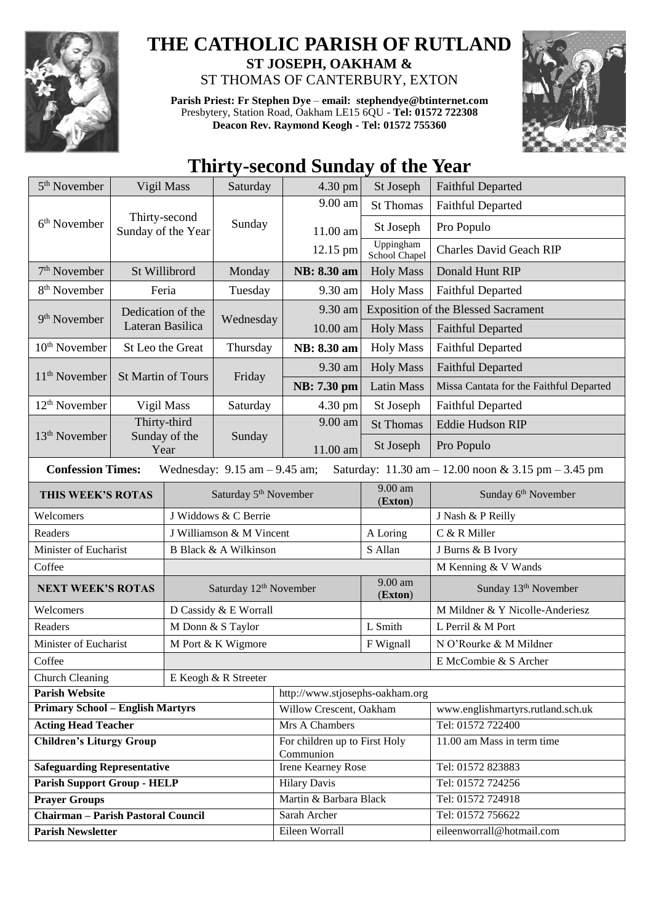

## **THE CATHOLIC PARISH OF RUTLAND ST JOSEPH, OAKHAM &**  ST THOMAS OF CANTERBURY, EXTON

**Parish Priest: Fr Stephen Dye** – **[email: stephendye@btinternet.com](mailto:email:%20%20stephendye@btinternet.com)** Presbytery, Station Road, Oakham LE15 6QU - **Tel: 01572 722308 Deacon Rev. Raymond Keogh - Tel: 01572 755360**



## **Thirty-second Sunday of the Year**

| $5th$ November<br>Vigil Mass                                                                                                                            |                       |                                    | Saturday                          | 4.30 pm                                    | St Joseph                  | <b>Faithful Departed</b>                   |  |
|---------------------------------------------------------------------------------------------------------------------------------------------------------|-----------------------|------------------------------------|-----------------------------------|--------------------------------------------|----------------------------|--------------------------------------------|--|
| Thirty-second<br>6 <sup>th</sup> November<br>Sunday of the Year                                                                                         |                       |                                    |                                   | 9.00 am                                    | <b>St Thomas</b>           | <b>Faithful Departed</b>                   |  |
|                                                                                                                                                         |                       |                                    | Sunday                            | 11.00 am                                   | St Joseph                  | Pro Populo                                 |  |
|                                                                                                                                                         |                       |                                    |                                   | 12.15 pm                                   | Uppingham<br>School Chapel | <b>Charles David Geach RIP</b>             |  |
| $7th$ November<br>St Willibrord                                                                                                                         |                       | Monday                             | NB: 8.30 am                       | <b>Holy Mass</b>                           | Donald Hunt RIP            |                                            |  |
| 8 <sup>th</sup> November<br>Feria                                                                                                                       |                       | Tuesday                            | 9.30 am                           | <b>Holy Mass</b>                           | <b>Faithful Departed</b>   |                                            |  |
| Dedication of the<br>9 <sup>th</sup> November<br>Lateran Basilica                                                                                       |                       |                                    |                                   | 9.30 am                                    |                            | <b>Exposition of the Blessed Sacrament</b> |  |
|                                                                                                                                                         |                       |                                    | Wednesday                         | 10.00 am                                   | <b>Holy Mass</b>           | <b>Faithful Departed</b>                   |  |
| 10 <sup>th</sup> November                                                                                                                               | St Leo the Great      |                                    | Thursday                          | NB: 8.30 am                                | <b>Holy Mass</b>           | <b>Faithful Departed</b>                   |  |
|                                                                                                                                                         |                       |                                    | Friday                            | 9.30 am                                    | <b>Holy Mass</b>           | <b>Faithful Departed</b>                   |  |
| 11 <sup>th</sup> November                                                                                                                               | St Martin of Tours    |                                    |                                   | NB: 7.30 pm                                | <b>Latin Mass</b>          | Missa Cantata for the Faithful Departed    |  |
| 12 <sup>th</sup> November                                                                                                                               | Vigil Mass            |                                    | Saturday                          | 4.30 pm                                    | St Joseph                  | <b>Faithful Departed</b>                   |  |
|                                                                                                                                                         | Thirty-third          |                                    |                                   | 9.00 am                                    | <b>St Thomas</b>           | <b>Eddie Hudson RIP</b>                    |  |
| 13 <sup>th</sup> November                                                                                                                               | Sunday of the<br>Year |                                    | Sunday                            | 11.00 am                                   | St Joseph                  | Pro Populo                                 |  |
| <b>Confession Times:</b><br>Wednesday: $9.15$ am $- 9.45$ am;<br>Saturday: $11.30 \text{ am} - 12.00 \text{ noon} \& 3.15 \text{ pm} - 3.45 \text{ pm}$ |                       |                                    |                                   |                                            |                            |                                            |  |
| THIS WEEK'S ROTAS                                                                                                                                       |                       |                                    | Saturday 5 <sup>th</sup> November | 9.00 am<br>(Exton)                         |                            | Sunday 6 <sup>th</sup> November            |  |
| Welcomers                                                                                                                                               |                       | J Widdows & C Berrie               |                                   |                                            |                            | J Nash & P Reilly                          |  |
| Readers                                                                                                                                                 |                       | J Williamson & M Vincent           |                                   |                                            | A Loring                   | C & R Miller                               |  |
| Minister of Eucharist                                                                                                                                   |                       | B Black & A Wilkinson              |                                   |                                            | S Allan                    | J Burns & B Ivory                          |  |
| Coffee                                                                                                                                                  |                       |                                    |                                   |                                            |                            | M Kenning & V Wands                        |  |
| <b>NEXT WEEK'S ROTAS</b>                                                                                                                                |                       | Saturday 12 <sup>th</sup> November |                                   |                                            | 9.00 am<br>(Exton)         | Sunday 13 <sup>th</sup> November           |  |
| Welcomers                                                                                                                                               |                       | D Cassidy & E Worrall              |                                   |                                            |                            | M Mildner & Y Nicolle-Anderiesz            |  |
| Readers                                                                                                                                                 |                       |                                    | M Donn & S Taylor                 |                                            | L Smith                    | L Perril & M Port                          |  |
| Minister of Eucharist                                                                                                                                   |                       | M Port & K Wigmore                 |                                   |                                            | F Wignall                  | N O'Rourke & M Mildner                     |  |
| Coffee                                                                                                                                                  |                       |                                    |                                   |                                            |                            | E McCombie & S Archer                      |  |
| <b>Church Cleaning</b>                                                                                                                                  |                       |                                    | E Keogh & R Streeter              |                                            |                            |                                            |  |
| <b>Parish Website</b>                                                                                                                                   |                       |                                    |                                   | http://www.stjosephs-oakham.org            |                            |                                            |  |
| <b>Primary School - English Martyrs</b>                                                                                                                 |                       |                                    |                                   | Willow Crescent, Oakham                    |                            | www.englishmartyrs.rutland.sch.uk          |  |
| <b>Acting Head Teacher</b>                                                                                                                              |                       |                                    |                                   | Mrs A Chambers                             |                            | Tel: 01572 722400                          |  |
| <b>Children's Liturgy Group</b>                                                                                                                         |                       |                                    |                                   | For children up to First Holy<br>Communion |                            | 11.00 am Mass in term time                 |  |
| <b>Safeguarding Representative</b>                                                                                                                      |                       |                                    |                                   | Irene Kearney Rose                         |                            | Tel: 01572 823883                          |  |
| <b>Parish Support Group - HELP</b>                                                                                                                      |                       |                                    |                                   | <b>Hilary Davis</b>                        |                            | Tel: 01572 724256                          |  |
| <b>Prayer Groups</b>                                                                                                                                    |                       |                                    |                                   | Martin & Barbara Black                     |                            | Tel: 01572 724918                          |  |
| <b>Chairman - Parish Pastoral Council</b>                                                                                                               |                       |                                    |                                   | Sarah Archer                               |                            | Tel: 01572 756622                          |  |
| <b>Parish Newsletter</b>                                                                                                                                |                       |                                    |                                   | Eileen Worrall                             |                            | eileenworrall@hotmail.com                  |  |